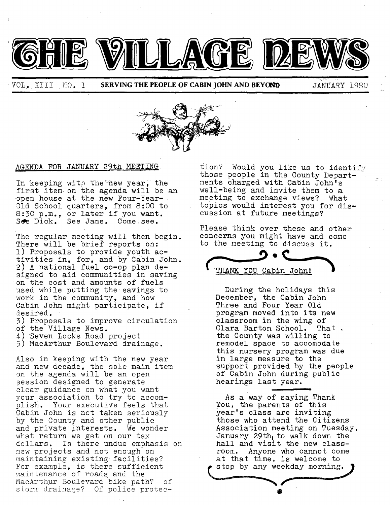

|

**• <b>VOL.** XIII MO. 1 **SERVING THE PEOPLE OF CABIN JOHN AND BEYOND** JANUARY 1980

in



## AGENDA FOR JANUARY 29th MEETING

In keeping with the new year, the first item on the agenda will be an open house at the new Four-Year-01d School quarters, from 8:00 to 8:30 p.m., or later if you want. See Dick. See Jane. Come see.

The regular meeting will then begin. There will be brief reports on: l) Proposals to provide youth activities in, for, and by Cabin John. 2) A national fuel co-op plan designed to aid communities in saving on the cost and amounts of fuels used while putting the savings to work in the community, and how Cabin John might participate, if desired.

3) Proposals to improve circulation of the Village News.

- 4) Seven Locks Road project
- 5) MacArthur Boulevard drainage.

Also in keeping with the new year and new decade, the sole main item on the agenda will be an open session designed to generate clear guidance on what you want your association to try to accomplish. Your executive feels that Cabin John is not taken seriously by the County and other public and private interests. We wonder what return we get on our tax dollars. Is there undue emphasis on new projects and not enough on maintaining existing facilities? For example, is there sufficient maintenance Of roads and the MacArthur Boulevard bike path? of storm drainage? Of police protec-

tion? Would you like us to identify those people in the County Departments charged with Cabin John's well-being and invite them to a meeting to exchange views? What topics would interest you for discussion at future meetings?

Please think over these and other concerns you might have and come to the meeting to discuss it.



During the holidays this December, the Cabin John Three and Four Year 01d program moved into its new classroom in the wing of Clara Barton School. That. the County was willing to remodel space to accomodate this nursery program was due in large measure to the support provided by the people of Cabin John during public hearings last year.

As a way of saying Thank You, the parents of this year's class are inviting those who attend the Citizens Association meeting on Tuesday, January 29th, to walk down the hall and visit the new classroom. Anyone who cannot come at that time, is welcome to stop by any weekday morning.

**@**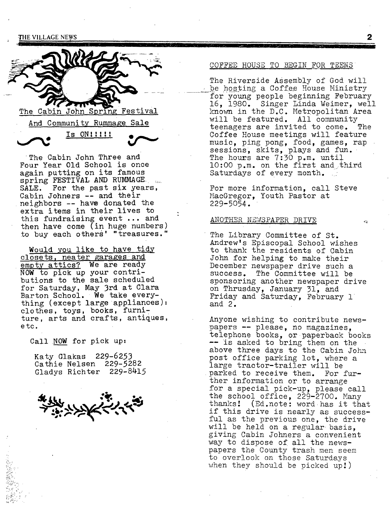

 $Is$  ON!!!!!

The Cabin John Three and Four Year 01d School is once again putting on its famous spring FESTIVAL AND RUMMAGE. SALE. For the past six years, Cabin Johners -- and their neighbors -- have donated the extra items in their lives to this fundraising event ... and then have come (in huge numbers) to buy each others' "treasures."

Would you like to have tidy closets, neater garages and empty attics? We are ready NOW to pick up your contributions to the sale scheduled for Saturday, May 3rd at Clara Barton School. We take everything (except large appliances) : clothes, toys, books, furniture, arts and crafts, antiques, etc.

Call NOW for pick up:

Katy Glakas 229-6253 Cathie Nelsen 229-5282 Cladys Richter 229-8415

ببيهديتبرع

 $\mathbb{R}^{\mathbb{Z}}$  .

### COFFEE HOUSE TO BEGIN FOR TEENS

llin linguaggi et la plus sono i ser la constantia del constantia del constantia del constantia del const

The Riverside Assembly of God will be hosting a Coffee House Ministry for young people beginning February 16, 1980. Singer Linda Weimer, well knovm in the D.C. Metropolitan Area will be featured. All community teenagers are invited to come. The Coffee House meetings will feature music, ping pong, food, games, rap sessions, skits, plays and fun. The hours are 7:30 p.m. until  $10:00$  p.m. on the first and third Saturdays of every month.

For more information, call Steve MacGregor, Youth Pastor at 229-5054.

#### ANOTHER NEWSPAPER DRIVE

The Library Committee of St. Andrew's Episcopal School wishes to thank the residents of Cabin John for helping to make their December newspaper drive such a success. The Committee will be sponsoring another newspaper drive on Thrusday, January 31, and Friday and Saturday, February 1 and 2.

Anyone wishing to contribute newspapers -- please, no magazines, telephone books, or paperback books -- is asked to bring them on the above three days to the Cabin John post office parking lot, where a large tractor-trailer will be parked to receive them. For further information or to arrange for a special pick-up, please call the school office, 229-2700. Many thanks! (Ed.note: word has it that if this drive is nearly as successful as the previous one, the drive will be held on a regular basis, giving Cabin Johners a convenient way to dispose of all the newspapers the County trash men seem to overlook on those Saturdays when they should be picked up!)

2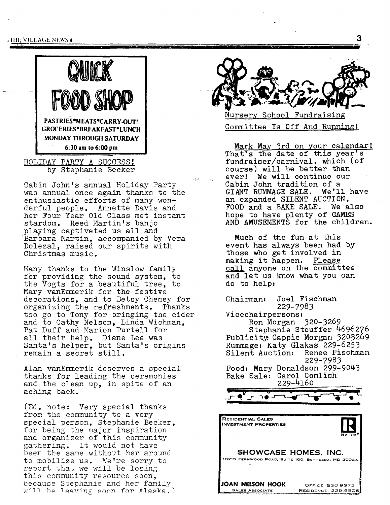, THE VILLAGE NEWS  $\bar{\bm{x}}$ 

" ,'7



HOLIDAY PARTY A SUCCESS' by Stephanie Becker

Cabin John's annual Holiday Party was annual once again thanks to the enthusiastic efforts of many wonderful people. Annette Davis and her Four Year Old Class met instant stardom. Reed Martin's banjo playing captivated us all and Barbara Martin, accompanied by Vera Dolezal, raised our spirits with Christmas music.

Many thanks to the Winslow family for providing the sound system, to the Vogts for a beautiful tree, to Mary vanEmmerik for the festive decorations, and to Betsy Cheney for organizing the refreshments. Thanks too go to Tony for bringing the cider and to Cathy Nelson, Linda Wichman, Pat Duff and Marion Purtell for all their help. Diane Lee was Santa's helper, but Santa's origins remain a secret still.

Alan vanEmmerik deserves a special thanks for leading the ceremonies and the clean up, in spite of an aching back.

(Ed. note: Very special thanks from the community to a very special person, Stephanie Becker, for being the major inspiration and organizer of this community gathering. It would not have been the same without her around to mobilize us. We're sorry to report that we will be losing this community resource soon, because Stephanie and her family will be leaving soon for Alaska.)



J | -"

School Fundraising Committee Is Off And Running!

Mark May 3rd on your calendar! That's the date of this year's fundraiser/carnival, which (of course) will be better than ever! We will continue our Cabin John tradition of a GIANT RUMMAGE SALE. We'll have an expanded SILENT AUCTION, FOOD and a BAKE SALE. We also hope to have plenty of GAMES AND AMUSEMENTS for the children.

Much of the fun at this event has always been had by those who get involved in making it happen. Please call anyone on the committee and let us know what you can do to help:

Chairman: Joel Fischman 229-7983 Vicechairpersons: Ron Morgan 320-3269 Stephanie Stouffer 4696276 Publicity: Cappie Morgan 3203269 Rummage: Katy Glakas 229-6253 Silent Auction: 229-7983 **Food:** Mary Donaldson 299-9043 Bake Sale: Carol Comlish 229-4160 II **<sup>I</sup>** RESIDENTIAL SALES **INVESTMENT PROPERTIES** JI  $\bf R$ REALTOR ® SHOWCASE HOMES, **INC.**  10215 FERNWOOD ROAD, SUrTE 100. BETHIESDA, MD 20034 **LOAN NELSON HOOK OFFICE, 530-9373**<br>Alle<u> Associate Residence: 229-650</u> **RESIDENCE: 229-6506**